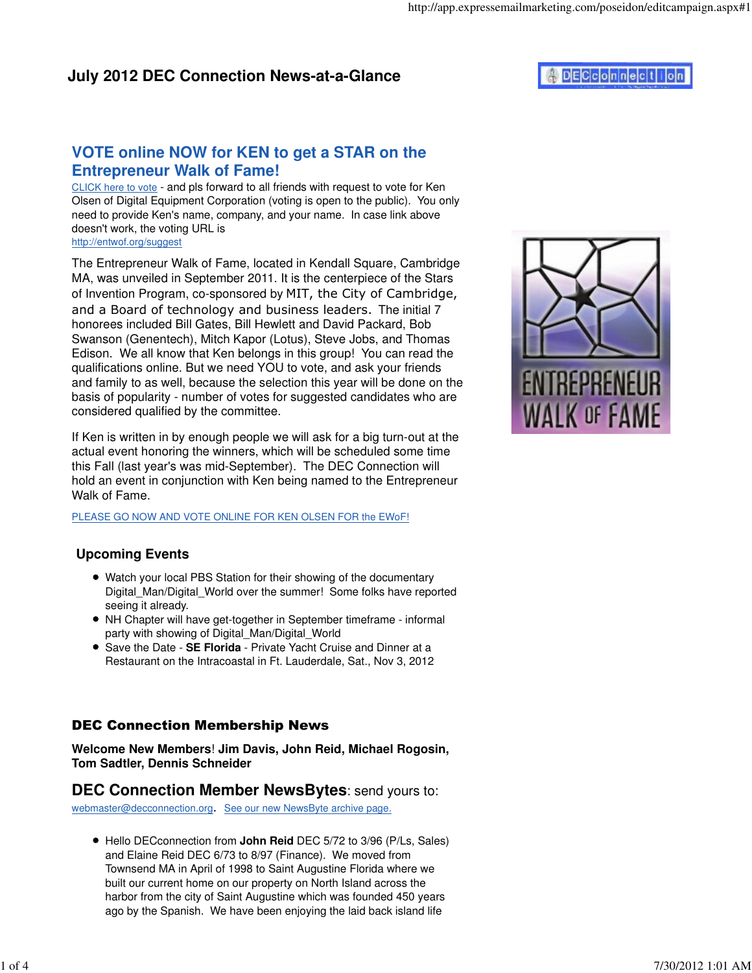## **VOTE online NOW for KEN to get a STAR on the Entrepreneur Walk of Fame!**

CLICK here to vote - and pls forward to all friends with request to vote for Ken Olsen of Digital Equipment Corporation (voting is open to the public). You only need to provide Ken's name, company, and your name. In case link above doesn't work, the voting URL is http://entwof.org/suggest

The Entrepreneur Walk of Fame, located in Kendall Square, Cambridge MA, was unveiled in September 2011. It is the centerpiece of the Stars of Invention Program, co-sponsored by MIT, the City of Cambridge, and a Board of technology and business leaders. The initial 7 honorees included Bill Gates, Bill Hewlett and David Packard, Bob Swanson (Genentech), Mitch Kapor (Lotus), Steve Jobs, and Thomas Edison. We all know that Ken belongs in this group! You can read the qualifications online. But we need YOU to vote, and ask your friends and family to as well, because the selection this year will be done on the basis of popularity - number of votes for suggested candidates who are considered qualified by the committee.

If Ken is written in by enough people we will ask for a big turn-out at the actual event honoring the winners, which will be scheduled some time this Fall (last year's was mid-September). The DEC Connection will hold an event in conjunction with Ken being named to the Entrepreneur Walk of Fame.

PLEASE GO NOW AND VOTE ONLINE FOR KEN OLSEN FOR the EWoF!

### **Upcoming Events**

- Watch your local PBS Station for their showing of the documentary Digital Man/Digital World over the summer! Some folks have reported seeing it already.
- NH Chapter will have get-together in September timeframe informal party with showing of Digital\_Man/Digital\_World
- Save the Date **SE Florida** Private Yacht Cruise and Dinner at a Restaurant on the Intracoastal in Ft. Lauderdale, Sat., Nov 3, 2012

### DEC Connection Membership News

**Welcome New Members**! **Jim Davis, John Reid, Michael Rogosin, Tom Sadtler, Dennis Schneider**

### **DEC Connection Member NewsBytes**: send yours to:

webmaster@decconnection.org. See our new NewsByte archive page.

Hello DECconnection from **John Reid** DEC 5/72 to 3/96 (P/Ls, Sales) and Elaine Reid DEC 6/73 to 8/97 (Finance). We moved from Townsend MA in April of 1998 to Saint Augustine Florida where we built our current home on our property on North Island across the harbor from the city of Saint Augustine which was founded 450 years ago by the Spanish. We have been enjoying the laid back island life

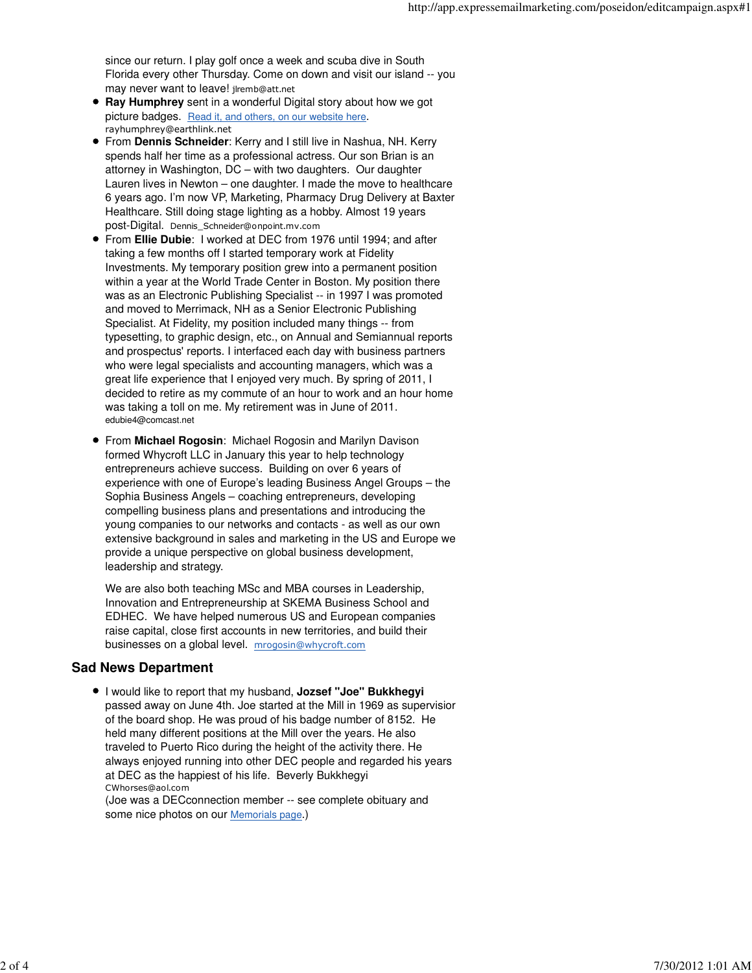since our return. I play golf once a week and scuba dive in South Florida every other Thursday. Come on down and visit our island -- you may never want to leave! jlremb@att.net

- **Ray Humphrey** sent in a wonderful Digital story about how we got picture badges. Read it, and others, on our website here. rayhumphrey@earthlink.net
- From **Dennis Schneider**: Kerry and I still live in Nashua, NH. Kerry spends half her time as a professional actress. Our son Brian is an attorney in Washington, DC – with two daughters. Our daughter Lauren lives in Newton – one daughter. I made the move to healthcare 6 years ago. I'm now VP, Marketing, Pharmacy Drug Delivery at Baxter Healthcare. Still doing stage lighting as a hobby. Almost 19 years post-Digital. Dennis\_Schneider@onpoint.mv.com
- From **Ellie Dubie**: I worked at DEC from 1976 until 1994; and after taking a few months off I started temporary work at Fidelity Investments. My temporary position grew into a permanent position within a year at the World Trade Center in Boston. My position there was as an Electronic Publishing Specialist -- in 1997 I was promoted and moved to Merrimack, NH as a Senior Electronic Publishing Specialist. At Fidelity, my position included many things -- from typesetting, to graphic design, etc., on Annual and Semiannual reports and prospectus' reports. I interfaced each day with business partners who were legal specialists and accounting managers, which was a great life experience that I enjoyed very much. By spring of 2011, I decided to retire as my commute of an hour to work and an hour home was taking a toll on me. My retirement was in June of 2011. edubie4@comcast.net
- From **Michael Rogosin**: Michael Rogosin and Marilyn Davison formed Whycroft LLC in January this year to help technology entrepreneurs achieve success. Building on over 6 years of experience with one of Europe's leading Business Angel Groups – the Sophia Business Angels – coaching entrepreneurs, developing compelling business plans and presentations and introducing the young companies to our networks and contacts - as well as our own extensive background in sales and marketing in the US and Europe we provide a unique perspective on global business development, leadership and strategy.

We are also both teaching MSc and MBA courses in Leadership, Innovation and Entrepreneurship at SKEMA Business School and EDHEC. We have helped numerous US and European companies raise capital, close first accounts in new territories, and build their businesses on a global level. mrogosin@whycroft.com

#### **Sad News Department**

I would like to report that my husband, **Jozsef "Joe" Bukkhegyi** passed away on June 4th. Joe started at the Mill in 1969 as supervisior of the board shop. He was proud of his badge number of 8152. He held many different positions at the Mill over the years. He also traveled to Puerto Rico during the height of the activity there. He always enjoyed running into other DEC people and regarded his years at DEC as the happiest of his life. Beverly Bukkhegyi CWhorses@aol.com

(Joe was a DECconnection member -- see complete obituary and some nice photos on our Memorials page.)